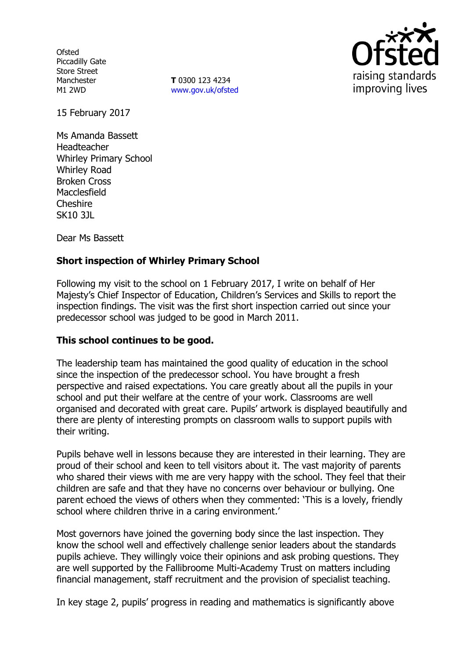**Ofsted** Piccadilly Gate Store Street Manchester M1 2WD

**T** 0300 123 4234 www.gov.uk/ofsted



15 February 2017

Ms Amanda Bassett Headteacher Whirley Primary School Whirley Road Broken Cross Macclesfield Cheshire SK10 3JL

Dear Ms Bassett

## **Short inspection of Whirley Primary School**

Following my visit to the school on 1 February 2017, I write on behalf of Her Majesty's Chief Inspector of Education, Children's Services and Skills to report the inspection findings. The visit was the first short inspection carried out since your predecessor school was judged to be good in March 2011.

### **This school continues to be good.**

The leadership team has maintained the good quality of education in the school since the inspection of the predecessor school. You have brought a fresh perspective and raised expectations. You care greatly about all the pupils in your school and put their welfare at the centre of your work. Classrooms are well organised and decorated with great care. Pupils' artwork is displayed beautifully and there are plenty of interesting prompts on classroom walls to support pupils with their writing.

Pupils behave well in lessons because they are interested in their learning. They are proud of their school and keen to tell visitors about it. The vast majority of parents who shared their views with me are very happy with the school. They feel that their children are safe and that they have no concerns over behaviour or bullying. One parent echoed the views of others when they commented: 'This is a lovely, friendly school where children thrive in a caring environment.'

Most governors have joined the governing body since the last inspection. They know the school well and effectively challenge senior leaders about the standards pupils achieve. They willingly voice their opinions and ask probing questions. They are well supported by the Fallibroome Multi-Academy Trust on matters including financial management, staff recruitment and the provision of specialist teaching.

In key stage 2, pupils' progress in reading and mathematics is significantly above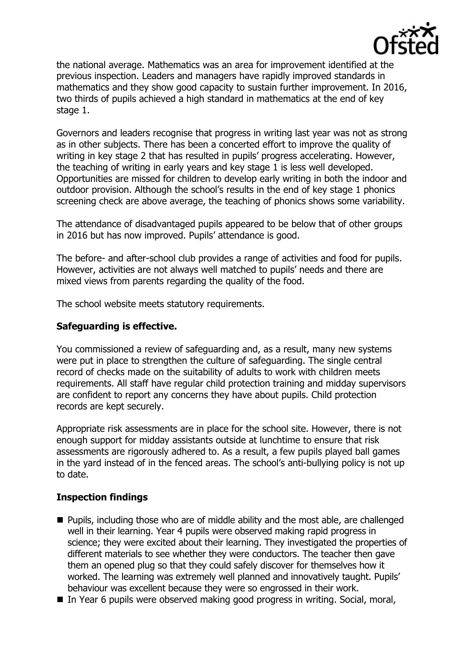

the national average. Mathematics was an area for improvement identified at the previous inspection. Leaders and managers have rapidly improved standards in mathematics and they show good capacity to sustain further improvement. In 2016, two thirds of pupils achieved a high standard in mathematics at the end of key stage 1.

Governors and leaders recognise that progress in writing last year was not as strong as in other subjects. There has been a concerted effort to improve the quality of writing in key stage 2 that has resulted in pupils' progress accelerating. However, the teaching of writing in early years and key stage 1 is less well developed. Opportunities are missed for children to develop early writing in both the indoor and outdoor provision. Although the school's results in the end of key stage 1 phonics screening check are above average, the teaching of phonics shows some variability.

The attendance of disadvantaged pupils appeared to be below that of other groups in 2016 but has now improved. Pupils' attendance is good.

The before- and after-school club provides a range of activities and food for pupils. However, activities are not always well matched to pupils' needs and there are mixed views from parents regarding the quality of the food.

The school website meets statutory requirements.

#### **Safeguarding is effective.**

You commissioned a review of safeguarding and, as a result, many new systems were put in place to strengthen the culture of safeguarding. The single central record of checks made on the suitability of adults to work with children meets requirements. All staff have regular child protection training and midday supervisors are confident to report any concerns they have about pupils. Child protection records are kept securely.

Appropriate risk assessments are in place for the school site. However, there is not enough support for midday assistants outside at lunchtime to ensure that risk assessments are rigorously adhered to. As a result, a few pupils played ball games in the yard instead of in the fenced areas. The school's anti-bullying policy is not up to date.

### **Inspection findings**

- Pupils, including those who are of middle ability and the most able, are challenged well in their learning. Year 4 pupils were observed making rapid progress in science; they were excited about their learning. They investigated the properties of different materials to see whether they were conductors. The teacher then gave them an opened plug so that they could safely discover for themselves how it worked. The learning was extremely well planned and innovatively taught. Pupils' behaviour was excellent because they were so engrossed in their work.
- In Year 6 pupils were observed making good progress in writing. Social, moral,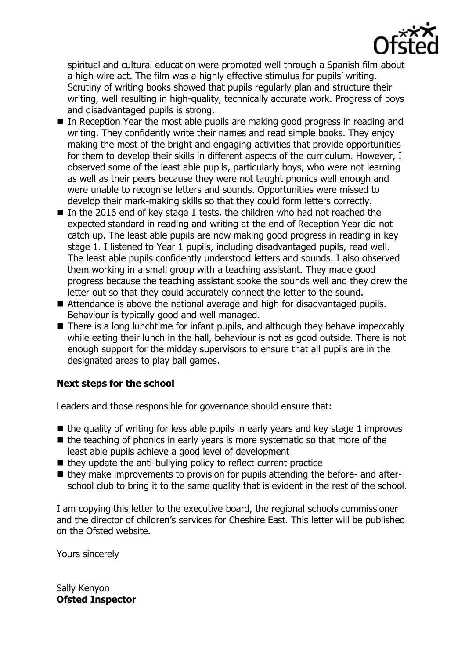

spiritual and cultural education were promoted well through a Spanish film about a high-wire act. The film was a highly effective stimulus for pupils' writing. Scrutiny of writing books showed that pupils regularly plan and structure their writing, well resulting in high-quality, technically accurate work. Progress of boys and disadvantaged pupils is strong.

- In Reception Year the most able pupils are making good progress in reading and writing. They confidently write their names and read simple books. They enjoy making the most of the bright and engaging activities that provide opportunities for them to develop their skills in different aspects of the curriculum. However, I observed some of the least able pupils, particularly boys, who were not learning as well as their peers because they were not taught phonics well enough and were unable to recognise letters and sounds. Opportunities were missed to develop their mark-making skills so that they could form letters correctly.
- In the 2016 end of key stage 1 tests, the children who had not reached the expected standard in reading and writing at the end of Reception Year did not catch up. The least able pupils are now making good progress in reading in key stage 1. I listened to Year 1 pupils, including disadvantaged pupils, read well. The least able pupils confidently understood letters and sounds. I also observed them working in a small group with a teaching assistant. They made good progress because the teaching assistant spoke the sounds well and they drew the letter out so that they could accurately connect the letter to the sound.
- Attendance is above the national average and high for disadvantaged pupils. Behaviour is typically good and well managed.
- There is a long lunchtime for infant pupils, and although they behave impeccably while eating their lunch in the hall, behaviour is not as good outside. There is not enough support for the midday supervisors to ensure that all pupils are in the designated areas to play ball games.

# **Next steps for the school**

Leaders and those responsible for governance should ensure that:

- $\blacksquare$  the quality of writing for less able pupils in early years and key stage 1 improves
- $\blacksquare$  the teaching of phonics in early years is more systematic so that more of the least able pupils achieve a good level of development
- $\blacksquare$  they update the anti-bullying policy to reflect current practice
- they make improvements to provision for pupils attending the before- and afterschool club to bring it to the same quality that is evident in the rest of the school.

I am copying this letter to the executive board, the regional schools commissioner and the director of children's services for Cheshire East. This letter will be published on the Ofsted website.

Yours sincerely

Sally Kenyon **Ofsted Inspector**